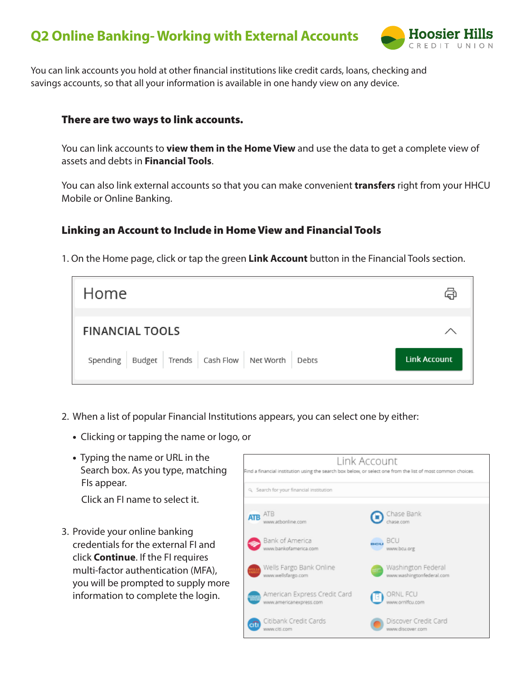# **Q2 Online Banking- Working with External Accounts**



You can link accounts you hold at other financial institutions like credit cards, loans, checking and savings accounts, so that all your information is available in one handy view on any device.

#### There are two ways to link accounts.

You can link accounts to **view them in the Home View** and use the data to get a complete view of assets and debts in **Financial Tools**.

You can also link external accounts so that you can make convenient **transfers** right from your HHCU Mobile or Online Banking.

## Linking an Account to Include in Home View and Financial Tools

1. On the Home page, click or tap the green **Link Account** button in the Financial Tools section.

| Home                                                          | لأسكا               |
|---------------------------------------------------------------|---------------------|
| <b>FINANCIAL TOOLS</b>                                        |                     |
| Spending   Budget   Trends   Cash Flow   Net Worth  <br>Debts | <b>Link Account</b> |

- 2. When a list of popular Financial Institutions appears, you can select one by either:
	- Clicking or tapping the name or logo, or
	- Typing the name or URL in the Search box. As you type, matching FIs appear.

Click an FI name to select it.

3. Provide your online banking credentials for the external FI and click **Continue**. If the FI requires multi-factor authentication (MFA), you will be prompted to supply more information to complete the login.